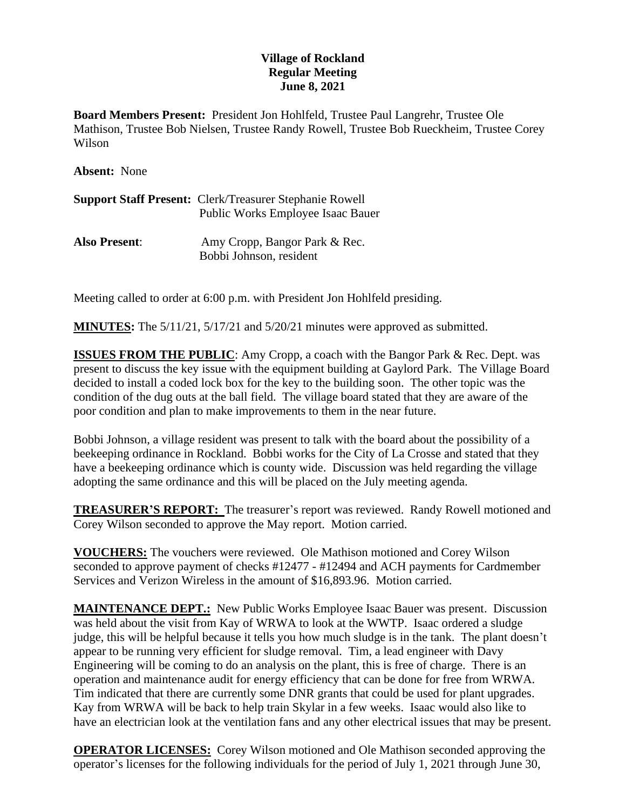## **Village of Rockland Regular Meeting June 8, 2021**

**Board Members Present:** President Jon Hohlfeld, Trustee Paul Langrehr, Trustee Ole Mathison, Trustee Bob Nielsen, Trustee Randy Rowell, Trustee Bob Rueckheim, Trustee Corey Wilson

**Absent:** None

| <b>Support Staff Present: Clerk/Treasurer Stephanie Rowell</b> |
|----------------------------------------------------------------|
| <b>Public Works Employee Isaac Bauer</b>                       |
|                                                                |

**Also Present**: Amy Cropp, Bangor Park & Rec. Bobbi Johnson, resident

Meeting called to order at 6:00 p.m. with President Jon Hohlfeld presiding.

**MINUTES:** The 5/11/21, 5/17/21 and 5/20/21 minutes were approved as submitted.

**ISSUES FROM THE PUBLIC:** Amy Cropp, a coach with the Bangor Park & Rec. Dept. was present to discuss the key issue with the equipment building at Gaylord Park. The Village Board decided to install a coded lock box for the key to the building soon. The other topic was the condition of the dug outs at the ball field. The village board stated that they are aware of the poor condition and plan to make improvements to them in the near future.

Bobbi Johnson, a village resident was present to talk with the board about the possibility of a beekeeping ordinance in Rockland. Bobbi works for the City of La Crosse and stated that they have a beekeeping ordinance which is county wide. Discussion was held regarding the village adopting the same ordinance and this will be placed on the July meeting agenda.

**TREASURER'S REPORT:** The treasurer's report was reviewed. Randy Rowell motioned and Corey Wilson seconded to approve the May report. Motion carried.

**VOUCHERS:** The vouchers were reviewed. Ole Mathison motioned and Corey Wilson seconded to approve payment of checks #12477 - #12494 and ACH payments for Cardmember Services and Verizon Wireless in the amount of \$16,893.96. Motion carried.

**MAINTENANCE DEPT.:** New Public Works Employee Isaac Bauer was present. Discussion was held about the visit from Kay of WRWA to look at the WWTP. Isaac ordered a sludge judge, this will be helpful because it tells you how much sludge is in the tank. The plant doesn't appear to be running very efficient for sludge removal. Tim, a lead engineer with Davy Engineering will be coming to do an analysis on the plant, this is free of charge. There is an operation and maintenance audit for energy efficiency that can be done for free from WRWA. Tim indicated that there are currently some DNR grants that could be used for plant upgrades. Kay from WRWA will be back to help train Skylar in a few weeks. Isaac would also like to have an electrician look at the ventilation fans and any other electrical issues that may be present.

**OPERATOR LICENSES:** Corey Wilson motioned and Ole Mathison seconded approving the operator's licenses for the following individuals for the period of July 1, 2021 through June 30,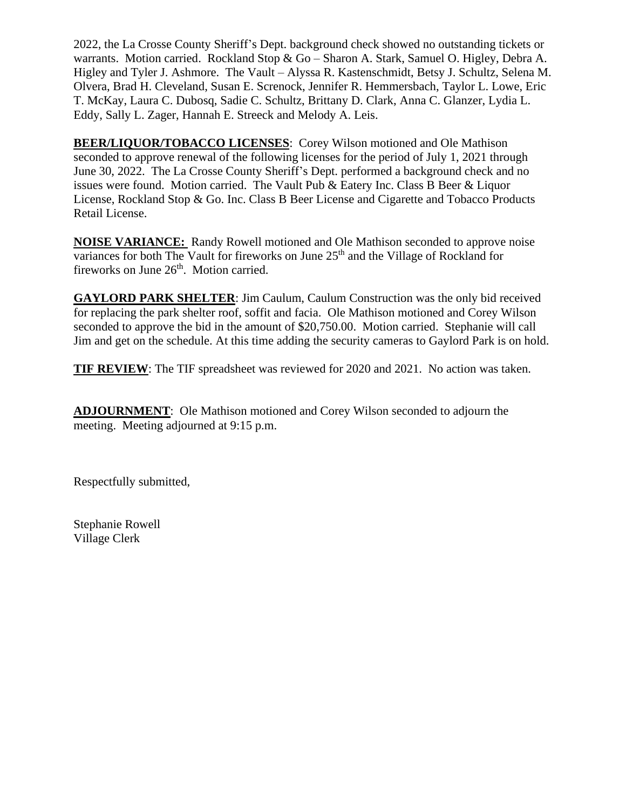2022, the La Crosse County Sheriff's Dept. background check showed no outstanding tickets or warrants. Motion carried. Rockland Stop & Go – Sharon A. Stark, Samuel O. Higley, Debra A. Higley and Tyler J. Ashmore. The Vault – Alyssa R. Kastenschmidt, Betsy J. Schultz, Selena M. Olvera, Brad H. Cleveland, Susan E. Screnock, Jennifer R. Hemmersbach, Taylor L. Lowe, Eric T. McKay, Laura C. Dubosq, Sadie C. Schultz, Brittany D. Clark, Anna C. Glanzer, Lydia L. Eddy, Sally L. Zager, Hannah E. Streeck and Melody A. Leis.

**BEER/LIQUOR/TOBACCO LICENSES**: Corey Wilson motioned and Ole Mathison seconded to approve renewal of the following licenses for the period of July 1, 2021 through June 30, 2022. The La Crosse County Sheriff's Dept. performed a background check and no issues were found. Motion carried. The Vault Pub & Eatery Inc. Class B Beer & Liquor License, Rockland Stop & Go. Inc. Class B Beer License and Cigarette and Tobacco Products Retail License.

**NOISE VARIANCE:** Randy Rowell motioned and Ole Mathison seconded to approve noise variances for both The Vault for fireworks on June 25<sup>th</sup> and the Village of Rockland for fireworks on June 26<sup>th</sup>. Motion carried.

**GAYLORD PARK SHELTER**: Jim Caulum, Caulum Construction was the only bid received for replacing the park shelter roof, soffit and facia. Ole Mathison motioned and Corey Wilson seconded to approve the bid in the amount of \$20,750.00. Motion carried. Stephanie will call Jim and get on the schedule. At this time adding the security cameras to Gaylord Park is on hold.

**TIF REVIEW**: The TIF spreadsheet was reviewed for 2020 and 2021. No action was taken.

**ADJOURNMENT**: Ole Mathison motioned and Corey Wilson seconded to adjourn the meeting. Meeting adjourned at 9:15 p.m.

Respectfully submitted,

Stephanie Rowell Village Clerk